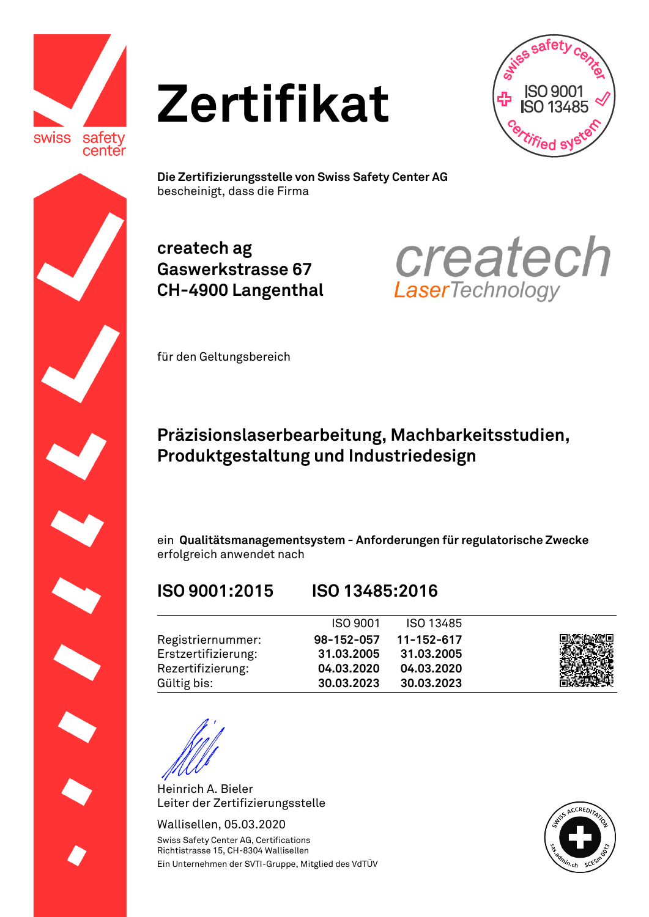





**Die Zertifizierungsstelle von Swiss Safety Center AG**  bescheinigt, dass die Firma

**createch ag Gaswerkstrasse 67 CH-4900 Langenthal**



für den Geltungsbereich

## **Präzisionslaserbearbeitung, Machbarkeitsstudien, Produktgestaltung und Industriedesign**

ein **Qualitätsmanagementsystem - Anforderungen für regulatorische Zwecke**  erfolgreich anwendet nach

## **ISO 9001:2015 ISO 13485:2016**

|                     | <b>ISO 9001</b> | ISO 13485  |  |
|---------------------|-----------------|------------|--|
| Registriernummer:   | 98-152-057      | 11-152-617 |  |
| Erstzertifizierung: | 31.03.2005      | 31.03.2005 |  |
| Rezertifizierung:   | 04.03.2020      | 04.03.2020 |  |
| Gültig bis:         | 30.03.2023      | 30.03.2023 |  |

Heinrich A. Bieler Leiter der Zertifizierungsstelle

Wallisellen, 05.03.2020 Swiss Safety Center AG, Certifications Richtistrasse 15, CH-8304 Wallisellen Ein Unternehmen der SVTI-Gruppe, Mitglied des VdTÜV

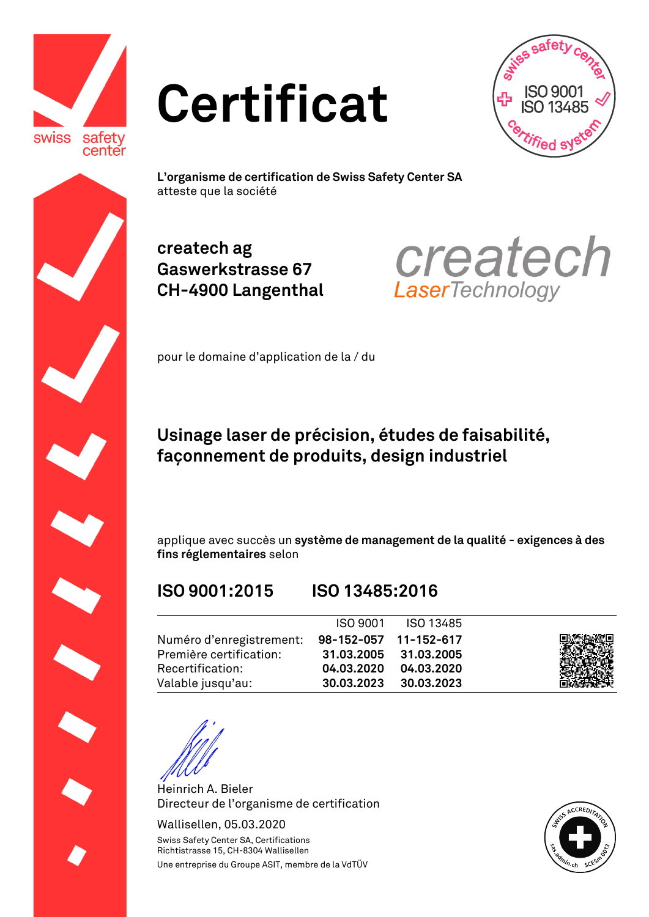







**L'organisme de certification de Swiss Safety Center SA**  atteste que la société

**createch ag Gaswerkstrasse 67 CH-4900 Langenthal**



pour le domaine d'application de la / du

## **Usinage laser de précision, études de faisabilité, façonnement de produits, design industriel**

applique avec succès un **système de management de la qualité - exigences à des fins réglementaires** selon

## **ISO 9001:2015 ISO 13485:2016**

## ISO 9001 ISO 13485 Numéro d'enregistrement: Première certification: Recertification: Valable jusqu'au: **98-152-057 31.03.2005 04.03.2020 30.03.2023 11-152-617 31.03.2005 04.03.2020 30.03.2023**

Heinrich A. Bieler Directeur de l'organisme de certification

Wallisellen, 05.03.2020 Swiss Safety Center SA, Certifications Richtistrasse 15, CH-8304 Wallisellen Une entreprise du Groupe ASIT, membre de la VdTÜV